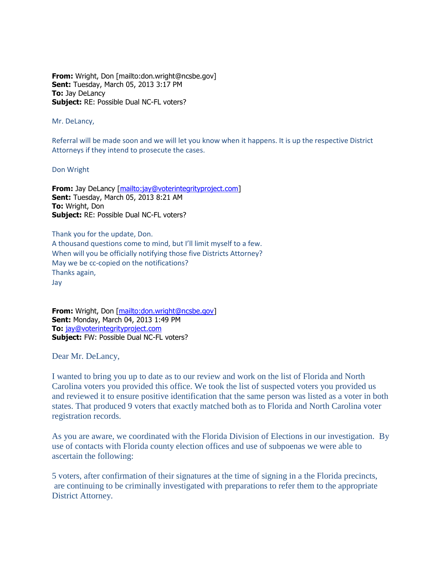**From:** Wright, Don [mailto:don.wright@ncsbe.gov] **Sent:** Tuesday, March 05, 2013 3:17 PM **To:** Jay DeLancy **Subject:** RE: Possible Dual NC-FL voters?

Mr. DeLancy,

Referral will be made soon and we will let you know when it happens. It is up the respective District Attorneys if they intend to prosecute the cases.

Don Wright

**From:** Jay DeLancy [\[mailto:jay@voterintegrityproject.com\]](mailto:jay@voterintegrityproject.com) **Sent:** Tuesday, March 05, 2013 8:21 AM **To:** Wright, Don **Subject:** RE: Possible Dual NC-FL voters?

Thank you for the update, Don. A thousand questions come to mind, but I'll limit myself to a few. When will you be officially notifying those five Districts Attorney? May we be cc-copied on the notifications? Thanks again, Jay

**From:** Wright, Don [\[mailto:don.wright@ncsbe.gov\]](mailto:don.wright@ncsbe.gov) **Sent:** Monday, March 04, 2013 1:49 PM **To:** [jay@voterintegrityproject.com](mailto:jay@voterintegrityproject.com) **Subject:** FW: Possible Dual NC-FL voters?

Dear Mr. DeLancy,

I wanted to bring you up to date as to our review and work on the list of Florida and North Carolina voters you provided this office. We took the list of suspected voters you provided us and reviewed it to ensure positive identification that the same person was listed as a voter in both states. That produced 9 voters that exactly matched both as to Florida and North Carolina voter registration records.

As you are aware, we coordinated with the Florida Division of Elections in our investigation. By use of contacts with Florida county election offices and use of subpoenas we were able to ascertain the following:

5 voters, after confirmation of their signatures at the time of signing in a the Florida precincts, are continuing to be criminally investigated with preparations to refer them to the appropriate District Attorney.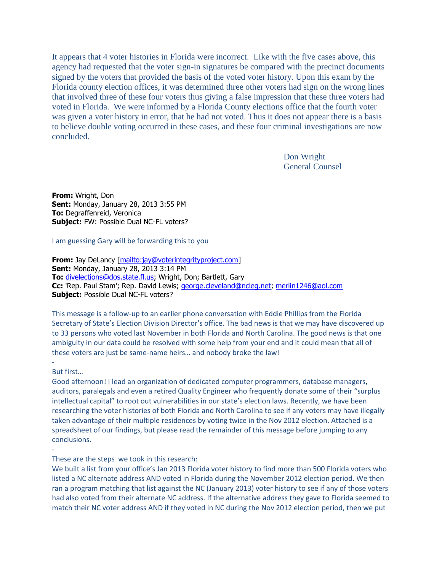It appears that 4 voter histories in Florida were incorrect. Like with the five cases above, this agency had requested that the voter sign-in signatures be compared with the precinct documents signed by the voters that provided the basis of the voted voter history. Upon this exam by the Florida county election offices, it was determined three other voters had sign on the wrong lines that involved three of these four voters thus giving a false impression that these three voters had voted in Florida. We were informed by a Florida County elections office that the fourth voter was given a voter history in error, that he had not voted. Thus it does not appear there is a basis to believe double voting occurred in these cases, and these four criminal investigations are now concluded.

> Don Wright General Counsel

**From:** Wright, Don **Sent:** Monday, January 28, 2013 3:55 PM **To:** Degraffenreid, Veronica **Subject:** FW: Possible Dual NC-FL voters?

I am guessing Gary will be forwarding this to you

**From:** Jay DeLancy [\[mailto:jay@voterintegrityproject.com\]](mailto:jay@voterintegrityproject.com) **Sent:** Monday, January 28, 2013 3:14 PM **To:** [divelections@dos.state.fl.us;](mailto:divelections@dos.state.fl.us) Wright, Don; Bartlett, Gary **Cc:** 'Rep. Paul Stam'; Rep. David Lewis; [george.cleveland@ncleg.net;](mailto:george.cleveland@ncleg.net) [merlin1246@aol.com](mailto:merlin1246@aol.com) **Subject:** Possible Dual NC-FL voters?

This message is a follow-up to an earlier phone conversation with Eddie Phillips from the Florida Secretary of State's Election Division Director's office. The bad news is that we may have discovered up to 33 persons who voted last November in both Florida and North Carolina. The good news is that one ambiguity in our data could be resolved with some help from your end and it could mean that all of these voters are just be same-name heirs… and nobody broke the law!

## - But first…

-

Good afternoon! I lead an organization of dedicated computer programmers, database managers, auditors, paralegals and even a retired Quality Engineer who frequently donate some of their "surplus intellectual capital" to root out vulnerabilities in our state's election laws. Recently, we have been researching the voter histories of both Florida and North Carolina to see if any voters may have illegally taken advantage of their multiple residences by voting twice in the Nov 2012 election. Attached is a spreadsheet of our findings, but please read the remainder of this message before jumping to any conclusions.

These are the steps we took in this research:

We built a list from your office's Jan 2013 Florida voter history to find more than 500 Florida voters who listed a NC alternate address AND voted in Florida during the November 2012 election period. We then ran a program matching that list against the NC (January 2013) voter history to see if any of those voters had also voted from their alternate NC address. If the alternative address they gave to Florida seemed to match their NC voter address AND if they voted in NC during the Nov 2012 election period, then we put